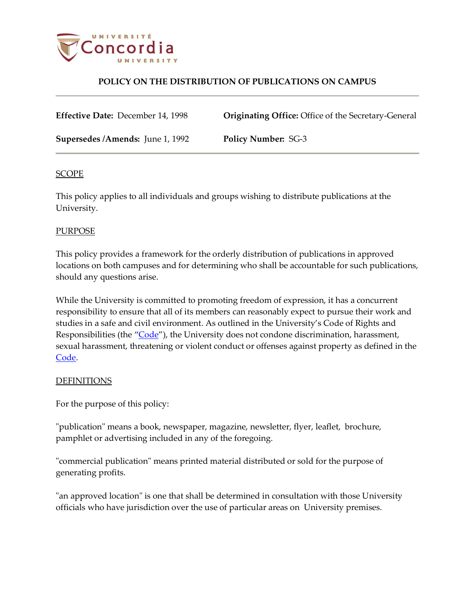

## **POLICY ON THE DISTRIBUTION OF PUBLICATIONS ON CAMPUS**

**Effective Date:** December 14, 1998 **Originating Office:** Office of the Secretary-General

**Supersedes /Amends:** June 1, 1992 **Policy Number:** SG-3

## SCOPE

This policy applies to all individuals and groups wishing to distribute publications at the University.

## PURPOSE

This policy provides a framework for the orderly distribution of publications in approved locations on both campuses and for determining who shall be accountable for such publications, should any questions arise.

While the University is committed to promoting freedom of expression, it has a concurrent responsibility to ensure that all of its members can reasonably expect to pursue their work and studies in a safe and civil environment. As outlined in the University's Code of Rights and Responsibilities (the "[Code](http://www.concordia.ca/content/dam/common/docs/policies/official-policies/BD-3.pdf)"), the University does not condone discrimination, harassment, sexual harassment, threatening or violent conduct or offenses against property as defined in the [Code.](http://www.concordia.ca/content/dam/common/docs/policies/official-policies/BD-3.pdf)

### DEFINITIONS

For the purpose of this policy:

"publication" means a book, newspaper, magazine, newsletter, flyer, leaflet, brochure, pamphlet or advertising included in any of the foregoing.

"commercial publication" means printed material distributed or sold for the purpose of generating profits.

"an approved location" is one that shall be determined in consultation with those University officials who have jurisdiction over the use of particular areas on University premises.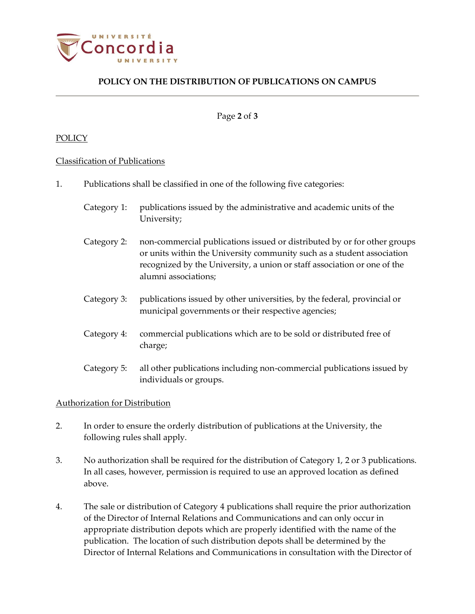

# **POLICY ON THE DISTRIBUTION OF PUBLICATIONS ON CAMPUS**

#### Page **2** of **3**

#### POLICY

#### Classification of Publications

- 1. Publications shall be classified in one of the following five categories:
	- Category 1: publications issued by the administrative and academic units of the University;
	- Category 2: non-commercial publications issued or distributed by or for other groups or units within the University community such as a student association recognized by the University, a union or staff association or one of the alumni associations;
	- Category 3: publications issued by other universities, by the federal, provincial or municipal governments or their respective agencies;
	- Category 4: commercial publications which are to be sold or distributed free of charge;
	- Category 5: all other publications including non-commercial publications issued by individuals or groups.

#### Authorization for Distribution

- 2. In order to ensure the orderly distribution of publications at the University, the following rules shall apply.
- 3. No authorization shall be required for the distribution of Category 1, 2 or 3 publications. In all cases, however, permission is required to use an approved location as defined above.
- 4. The sale or distribution of Category 4 publications shall require the prior authorization of the Director of Internal Relations and Communications and can only occur in appropriate distribution depots which are properly identified with the name of the publication. The location of such distribution depots shall be determined by the Director of Internal Relations and Communications in consultation with the Director of